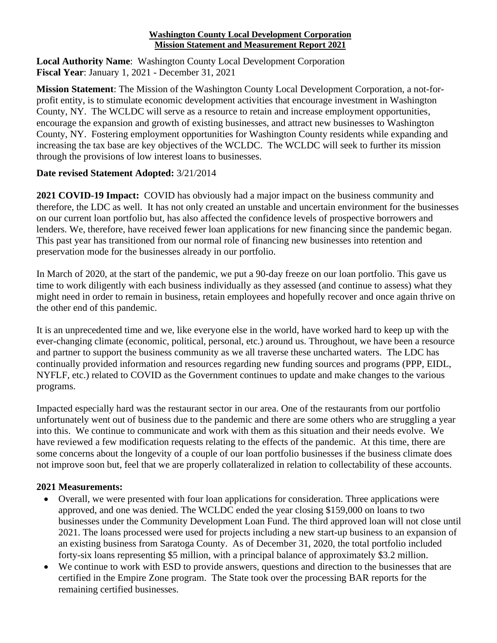## **Washington County Local Development Corporation Mission Statement and Measurement Report 2021**

**Local Authority Name**: Washington County Local Development Corporation **Fiscal Year**: January 1, 2021 - December 31, 2021

**Mission Statement**: The Mission of the Washington County Local Development Corporation, a not-forprofit entity, is to stimulate economic development activities that encourage investment in Washington County, NY. The WCLDC will serve as a resource to retain and increase employment opportunities, encourage the expansion and growth of existing businesses, and attract new businesses to Washington County, NY. Fostering employment opportunities for Washington County residents while expanding and increasing the tax base are key objectives of the WCLDC. The WCLDC will seek to further its mission through the provisions of low interest loans to businesses.

## **Date revised Statement Adopted:** 3/21/2014

**2021 COVID-19 Impact:** COVID has obviously had a major impact on the business community and therefore, the LDC as well. It has not only created an unstable and uncertain environment for the businesses on our current loan portfolio but, has also affected the confidence levels of prospective borrowers and lenders. We, therefore, have received fewer loan applications for new financing since the pandemic began. This past year has transitioned from our normal role of financing new businesses into retention and preservation mode for the businesses already in our portfolio.

In March of 2020, at the start of the pandemic, we put a 90-day freeze on our loan portfolio. This gave us time to work diligently with each business individually as they assessed (and continue to assess) what they might need in order to remain in business, retain employees and hopefully recover and once again thrive on the other end of this pandemic.

It is an unprecedented time and we, like everyone else in the world, have worked hard to keep up with the ever-changing climate (economic, political, personal, etc.) around us. Throughout, we have been a resource and partner to support the business community as we all traverse these uncharted waters. The LDC has continually provided information and resources regarding new funding sources and programs (PPP, EIDL, NYFLF, etc.) related to COVID as the Government continues to update and make changes to the various programs.

Impacted especially hard was the restaurant sector in our area. One of the restaurants from our portfolio unfortunately went out of business due to the pandemic and there are some others who are struggling a year into this. We continue to communicate and work with them as this situation and their needs evolve. We have reviewed a few modification requests relating to the effects of the pandemic. At this time, there are some concerns about the longevity of a couple of our loan portfolio businesses if the business climate does not improve soon but, feel that we are properly collateralized in relation to collectability of these accounts.

## **2021 Measurements:**

- Overall, we were presented with four loan applications for consideration. Three applications were approved, and one was denied. The WCLDC ended the year closing \$159,000 on loans to two businesses under the Community Development Loan Fund. The third approved loan will not close until 2021. The loans processed were used for projects including a new start-up business to an expansion of an existing business from Saratoga County. As of December 31, 2020, the total portfolio included forty-six loans representing \$5 million, with a principal balance of approximately \$3.2 million.
- We continue to work with ESD to provide answers, questions and direction to the businesses that are certified in the Empire Zone program. The State took over the processing BAR reports for the remaining certified businesses.